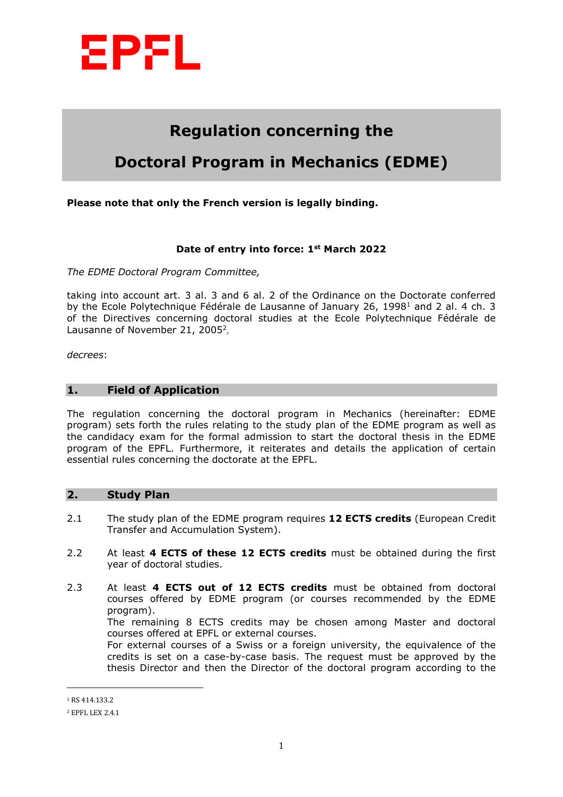

# **Regulation concerning the**

# **Doctoral Program in Mechanics (EDME)**

# **Please note that only the French version is legally binding.**

#### **Date of entry into force: 1st March 2022**

*The EDME Doctoral Program Committee,*

taking into account art. 3 al. 3 and 6 al. 2 of the Ordinance on the Doctorate conferred by the Ecole Polytechnique Fédérale de Lausanne of January 26, 1998<sup>1</sup> and 2 al. 4 ch. 3 of the Directives concerning doctoral studies at the Ecole Polytechnique Fédérale de Lausanne of November 21, 2005<sup>2</sup>.

*decrees*:

#### **1. Field of Application**

The regulation concerning the doctoral program in Mechanics (hereinafter: EDME program) sets forth the rules relating to the study plan of the EDME program as well as the candidacy exam for the formal admission to start the doctoral thesis in the EDME program of the EPFL. Furthermore, it reiterates and details the application of certain essential rules concerning the doctorate at the EPFL.

#### **2. Study Plan**

- 2.1 The study plan of the EDME program requires **12 ECTS credits** (European Credit Transfer and Accumulation System).
- 2.2 At least **4 ECTS of these 12 ECTS credits** must be obtained during the first year of doctoral studies.
- 2.3 At least **4 ECTS out of 12 ECTS credits** must be obtained from doctoral courses offered by EDME program (or courses recommended by the EDME program).

The remaining 8 ECTS credits may be chosen among Master and doctoral courses offered at EPFL or external courses.

For external courses of a Swiss or a foreign university, the equivalence of the credits is set on a case-by-case basis. The request must be approved by the thesis Director and then the Director of the doctoral program according to the

 $\overline{a}$ 

<sup>1</sup> RS 414.133.2

<sup>2</sup> EPFL LEX 2.4.1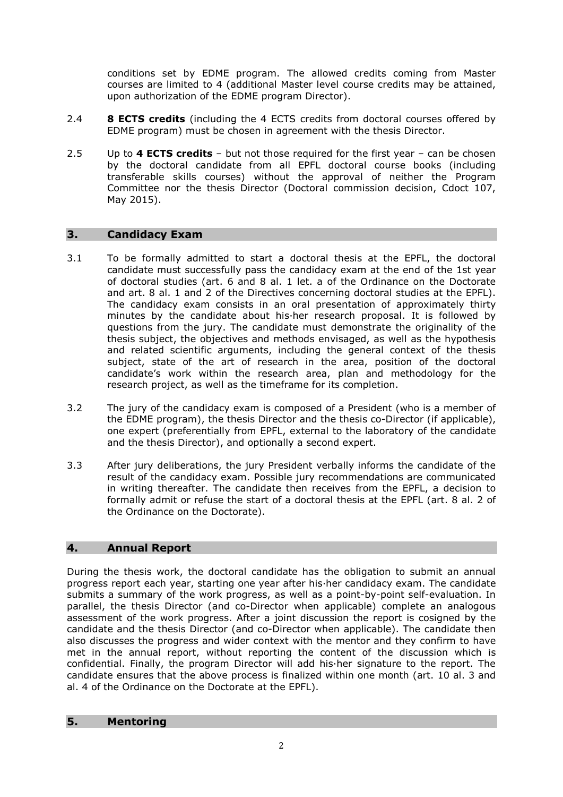conditions set by EDME program. The allowed credits coming from Master courses are limited to 4 (additional Master level course credits may be attained, upon authorization of the EDME program Director).

- 2.4 **8 ECTS credits** (including the 4 ECTS credits from doctoral courses offered by EDME program) must be chosen in agreement with the thesis Director.
- 2.5 Up to **4 ECTS credits** but not those required for the first year can be chosen by the doctoral candidate from all EPFL doctoral course books (including transferable skills courses) without the approval of neither the Program Committee nor the thesis Director (Doctoral commission decision, Cdoct 107, May 2015).

# **3. Candidacy Exam**

- 3.1 To be formally admitted to start a doctoral thesis at the EPFL, the doctoral candidate must successfully pass the candidacy exam at the end of the 1st year of doctoral studies (art. 6 and 8 al. 1 let. a of the Ordinance on the Doctorate and art. 8 al. 1 and 2 of the Directives concerning doctoral studies at the EPFL). The candidacy exam consists in an oral presentation of approximately thirty minutes by the candidate about his·her research proposal. It is followed by questions from the jury. The candidate must demonstrate the originality of the thesis subject, the objectives and methods envisaged, as well as the hypothesis and related scientific arguments, including the general context of the thesis subject, state of the art of research in the area, position of the doctoral candidate's work within the research area, plan and methodology for the research project, as well as the timeframe for its completion.
- 3.2 The jury of the candidacy exam is composed of a President (who is a member of the EDME program), the thesis Director and the thesis co-Director (if applicable), one expert (preferentially from EPFL, external to the laboratory of the candidate and the thesis Director), and optionally a second expert.
- 3.3 After jury deliberations, the jury President verbally informs the candidate of the result of the candidacy exam. Possible jury recommendations are communicated in writing thereafter. The candidate then receives from the EPFL, a decision to formally admit or refuse the start of a doctoral thesis at the EPFL (art. 8 al. 2 of the Ordinance on the Doctorate).

# **4. Annual Report**

During the thesis work, the doctoral candidate has the obligation to submit an annual progress report each year, starting one year after his·her candidacy exam. The candidate submits a summary of the work progress, as well as a point-by-point self-evaluation. In parallel, the thesis Director (and co-Director when applicable) complete an analogous assessment of the work progress. After a joint discussion the report is cosigned by the candidate and the thesis Director (and co-Director when applicable). The candidate then also discusses the progress and wider context with the mentor and they confirm to have met in the annual report, without reporting the content of the discussion which is confidential. Finally, the program Director will add his·her signature to the report. The candidate ensures that the above process is finalized within one month (art. 10 al. 3 and al. 4 of the Ordinance on the Doctorate at the EPFL).

# **5. Mentoring**